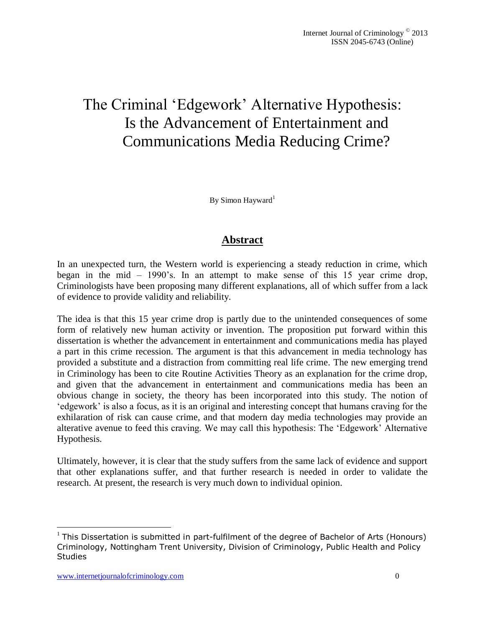# The Criminal 'Edgework' Alternative Hypothesis: Is the Advancement of Entertainment and Communications Media Reducing Crime?

By Simon Hayward<sup>1</sup>

## **Abstract**

In an unexpected turn, the Western world is experiencing a steady reduction in crime, which began in the mid – 1990's. In an attempt to make sense of this 15 year crime drop, Criminologists have been proposing many different explanations, all of which suffer from a lack of evidence to provide validity and reliability.

The idea is that this 15 year crime drop is partly due to the unintended consequences of some form of relatively new human activity or invention. The proposition put forward within this dissertation is whether the advancement in entertainment and communications media has played a part in this crime recession. The argument is that this advancement in media technology has provided a substitute and a distraction from committing real life crime. The new emerging trend in Criminology has been to cite Routine Activities Theory as an explanation for the crime drop, and given that the advancement in entertainment and communications media has been an obvious change in society, the theory has been incorporated into this study. The notion of 'edgework' is also a focus, as it is an original and interesting concept that humans craving for the exhilaration of risk can cause crime, and that modern day media technologies may provide an alterative avenue to feed this craving. We may call this hypothesis: The 'Edgework' Alternative Hypothesis.

Ultimately, however, it is clear that the study suffers from the same lack of evidence and support that other explanations suffer, and that further research is needed in order to validate the research. At present, the research is very much down to individual opinion.

 $\overline{a}$ 

<sup>&</sup>lt;sup>1</sup> This Dissertation is submitted in part-fulfilment of the degree of Bachelor of Arts (Honours) Criminology, Nottingham Trent University, Division of Criminology, Public Health and Policy **Studies**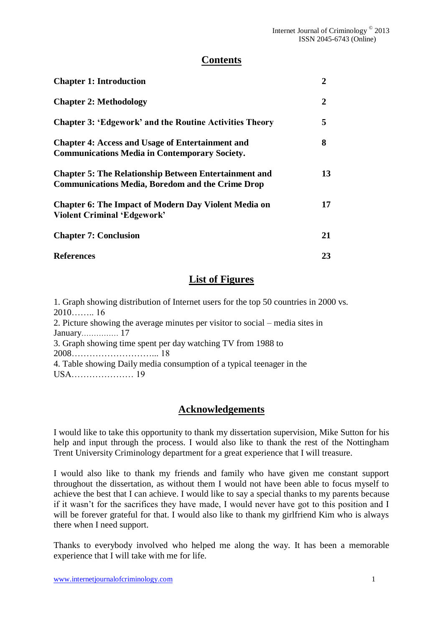## **Contents**

| <b>Chapter 1: Introduction</b>                                                                                          | $\mathbf{2}$ |
|-------------------------------------------------------------------------------------------------------------------------|--------------|
| <b>Chapter 2: Methodology</b>                                                                                           | 2            |
| <b>Chapter 3: 'Edgework' and the Routine Activities Theory</b>                                                          | 5            |
| <b>Chapter 4: Access and Usage of Entertainment and</b><br><b>Communications Media in Contemporary Society.</b>         | 8            |
| <b>Chapter 5: The Relationship Between Entertainment and</b><br><b>Communications Media, Boredom and the Crime Drop</b> | 13           |
| <b>Chapter 6: The Impact of Modern Day Violent Media on</b><br>Violent Criminal 'Edgework'                              | 17           |
| <b>Chapter 7: Conclusion</b>                                                                                            | 21           |
| <b>References</b>                                                                                                       | 23           |

# **List of Figures**

1. Graph showing distribution of Internet users for the top 50 countries in 2000 vs. 2010…….. 16 2. Picture showing the average minutes per visitor to social – media sites in January…………… 17 3. Graph showing time spent per day watching TV from 1988 to 2008………………………... 18 4. Table showing Daily media consumption of a typical teenager in the USA………………… 19

## **Acknowledgements**

I would like to take this opportunity to thank my dissertation supervision, Mike Sutton for his help and input through the process. I would also like to thank the rest of the Nottingham Trent University Criminology department for a great experience that I will treasure.

I would also like to thank my friends and family who have given me constant support throughout the dissertation, as without them I would not have been able to focus myself to achieve the best that I can achieve. I would like to say a special thanks to my parents because if it wasn't for the sacrifices they have made, I would never have got to this position and I will be forever grateful for that. I would also like to thank my girlfriend Kim who is always there when I need support.

Thanks to everybody involved who helped me along the way. It has been a memorable experience that I will take with me for life.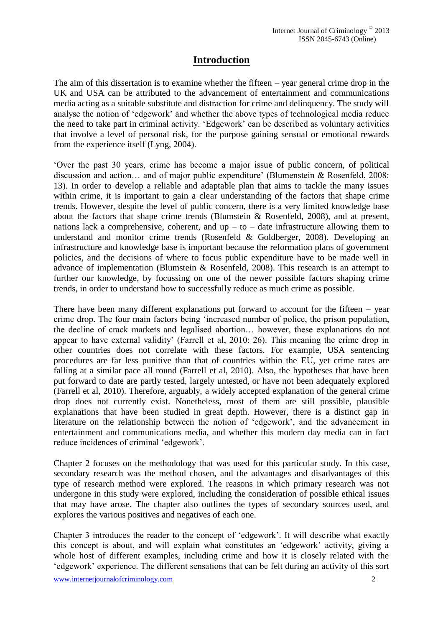# **Introduction**

The aim of this dissertation is to examine whether the fifteen – year general crime drop in the UK and USA can be attributed to the advancement of entertainment and communications media acting as a suitable substitute and distraction for crime and delinquency. The study will analyse the notion of 'edgework' and whether the above types of technological media reduce the need to take part in criminal activity. 'Edgework' can be described as voluntary activities that involve a level of personal risk, for the purpose gaining sensual or emotional rewards from the experience itself (Lyng, 2004).

'Over the past 30 years, crime has become a major issue of public concern, of political discussion and action… and of major public expenditure' (Blumenstein & Rosenfeld, 2008: 13). In order to develop a reliable and adaptable plan that aims to tackle the many issues within crime, it is important to gain a clear understanding of the factors that shape crime trends. However, despite the level of public concern, there is a very limited knowledge base about the factors that shape crime trends (Blumstein & Rosenfeld, 2008), and at present, nations lack a comprehensive, coherent, and  $up - to - date$  infrastructure allowing them to understand and monitor crime trends (Rosenfeld & Goldberger, 2008). Developing an infrastructure and knowledge base is important because the reformation plans of government policies, and the decisions of where to focus public expenditure have to be made well in advance of implementation (Blumstein & Rosenfeld, 2008). This research is an attempt to further our knowledge, by focussing on one of the newer possible factors shaping crime trends, in order to understand how to successfully reduce as much crime as possible.

There have been many different explanations put forward to account for the fifteen – year crime drop. The four main factors being 'increased number of police, the prison population, the decline of crack markets and legalised abortion… however, these explanations do not appear to have external validity' (Farrell et al, 2010: 26). This meaning the crime drop in other countries does not correlate with these factors. For example, USA sentencing procedures are far less punitive than that of countries within the EU, yet crime rates are falling at a similar pace all round (Farrell et al, 2010). Also, the hypotheses that have been put forward to date are partly tested, largely untested, or have not been adequately explored (Farrell et al, 2010). Therefore, arguably, a widely accepted explanation of the general crime drop does not currently exist. Nonetheless, most of them are still possible, plausible explanations that have been studied in great depth. However, there is a distinct gap in literature on the relationship between the notion of 'edgework', and the advancement in entertainment and communications media, and whether this modern day media can in fact reduce incidences of criminal 'edgework'.

Chapter 2 focuses on the methodology that was used for this particular study. In this case, secondary research was the method chosen, and the advantages and disadvantages of this type of research method were explored. The reasons in which primary research was not undergone in this study were explored, including the consideration of possible ethical issues that may have arose. The chapter also outlines the types of secondary sources used, and explores the various positives and negatives of each one.

Chapter 3 introduces the reader to the concept of 'edgework'. It will describe what exactly this concept is about, and will explain what constitutes an 'edgework' activity, giving a whole host of different examples, including crime and how it is closely related with the 'edgework' experience. The different sensations that can be felt during an activity of this sort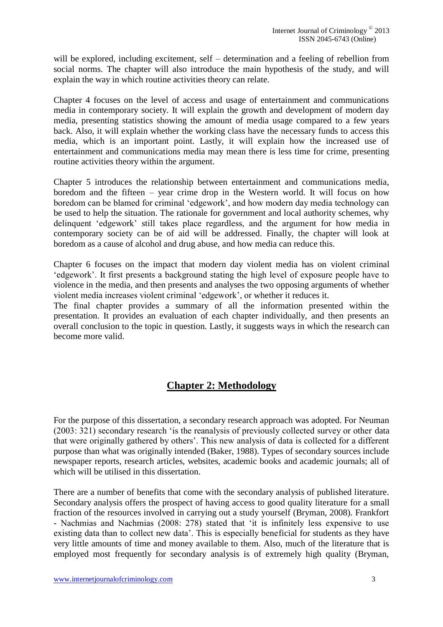will be explored, including excitement, self – determination and a feeling of rebellion from social norms. The chapter will also introduce the main hypothesis of the study, and will explain the way in which routine activities theory can relate.

Chapter 4 focuses on the level of access and usage of entertainment and communications media in contemporary society. It will explain the growth and development of modern day media, presenting statistics showing the amount of media usage compared to a few years back. Also, it will explain whether the working class have the necessary funds to access this media, which is an important point. Lastly, it will explain how the increased use of entertainment and communications media may mean there is less time for crime, presenting routine activities theory within the argument.

Chapter 5 introduces the relationship between entertainment and communications media, boredom and the fifteen – year crime drop in the Western world. It will focus on how boredom can be blamed for criminal 'edgework', and how modern day media technology can be used to help the situation. The rationale for government and local authority schemes, why delinquent 'edgework' still takes place regardless, and the argument for how media in contemporary society can be of aid will be addressed. Finally, the chapter will look at boredom as a cause of alcohol and drug abuse, and how media can reduce this.

Chapter 6 focuses on the impact that modern day violent media has on violent criminal 'edgework'. It first presents a background stating the high level of exposure people have to violence in the media, and then presents and analyses the two opposing arguments of whether violent media increases violent criminal 'edgework', or whether it reduces it.

The final chapter provides a summary of all the information presented within the presentation. It provides an evaluation of each chapter individually, and then presents an overall conclusion to the topic in question. Lastly, it suggests ways in which the research can become more valid.

# **Chapter 2: Methodology**

For the purpose of this dissertation, a secondary research approach was adopted. For Neuman (2003: 321) secondary research 'is the reanalysis of previously collected survey or other data that were originally gathered by others'. This new analysis of data is collected for a different purpose than what was originally intended (Baker, 1988). Types of secondary sources include newspaper reports, research articles, websites, academic books and academic journals; all of which will be utilised in this dissertation.

There are a number of benefits that come with the secondary analysis of published literature. Secondary analysis offers the prospect of having access to good quality literature for a small fraction of the resources involved in carrying out a study yourself (Bryman, 2008). Frankfort - Nachmias and Nachmias (2008: 278) stated that 'it is infinitely less expensive to use existing data than to collect new data'. This is especially beneficial for students as they have very little amounts of time and money available to them. Also, much of the literature that is employed most frequently for secondary analysis is of extremely high quality (Bryman,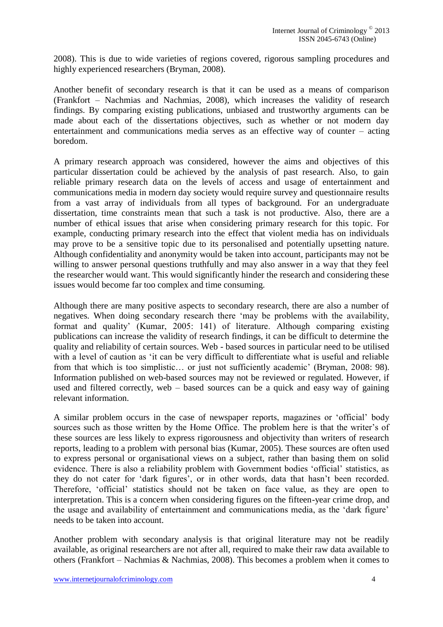2008). This is due to wide varieties of regions covered, rigorous sampling procedures and highly experienced researchers (Bryman, 2008).

Another benefit of secondary research is that it can be used as a means of comparison (Frankfort – Nachmias and Nachmias, 2008), which increases the validity of research findings. By comparing existing publications, unbiased and trustworthy arguments can be made about each of the dissertations objectives, such as whether or not modern day entertainment and communications media serves as an effective way of counter – acting boredom.

A primary research approach was considered, however the aims and objectives of this particular dissertation could be achieved by the analysis of past research. Also, to gain reliable primary research data on the levels of access and usage of entertainment and communications media in modern day society would require survey and questionnaire results from a vast array of individuals from all types of background. For an undergraduate dissertation, time constraints mean that such a task is not productive. Also, there are a number of ethical issues that arise when considering primary research for this topic. For example, conducting primary research into the effect that violent media has on individuals may prove to be a sensitive topic due to its personalised and potentially upsetting nature. Although confidentiality and anonymity would be taken into account, participants may not be willing to answer personal questions truthfully and may also answer in a way that they feel the researcher would want. This would significantly hinder the research and considering these issues would become far too complex and time consuming.

Although there are many positive aspects to secondary research, there are also a number of negatives. When doing secondary research there 'may be problems with the availability, format and quality' (Kumar, 2005: 141) of literature. Although comparing existing publications can increase the validity of research findings, it can be difficult to determine the quality and reliability of certain sources. Web - based sources in particular need to be utilised with a level of caution as 'it can be very difficult to differentiate what is useful and reliable from that which is too simplistic… or just not sufficiently academic' (Bryman, 2008: 98). Information published on web-based sources may not be reviewed or regulated. However, if used and filtered correctly, web – based sources can be a quick and easy way of gaining relevant information.

A similar problem occurs in the case of newspaper reports, magazines or 'official' body sources such as those written by the Home Office. The problem here is that the writer's of these sources are less likely to express rigorousness and objectivity than writers of research reports, leading to a problem with personal bias (Kumar, 2005). These sources are often used to express personal or organisational views on a subject, rather than basing them on solid evidence. There is also a reliability problem with Government bodies 'official' statistics, as they do not cater for 'dark figures', or in other words, data that hasn't been recorded. Therefore, 'official' statistics should not be taken on face value, as they are open to interpretation. This is a concern when considering figures on the fifteen-year crime drop, and the usage and availability of entertainment and communications media, as the 'dark figure' needs to be taken into account.

Another problem with secondary analysis is that original literature may not be readily available, as original researchers are not after all, required to make their raw data available to others (Frankfort – Nachmias & Nachmias, 2008). This becomes a problem when it comes to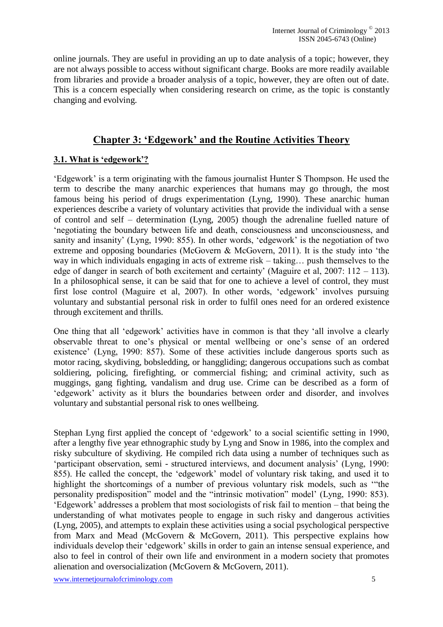online journals. They are useful in providing an up to date analysis of a topic; however, they are not always possible to access without significant charge. Books are more readily available from libraries and provide a broader analysis of a topic, however, they are often out of date. This is a concern especially when considering research on crime, as the topic is constantly changing and evolving.

## **Chapter 3: 'Edgework' and the Routine Activities Theory**

## **3.1. What is 'edgework'?**

'Edgework' is a term originating with the famous journalist Hunter S Thompson. He used the term to describe the many anarchic experiences that humans may go through, the most famous being his period of drugs experimentation (Lyng, 1990). These anarchic human experiences describe a variety of voluntary activities that provide the individual with a sense of control and self – determination (Lyng, 2005) though the adrenaline fuelled nature of 'negotiating the boundary between life and death, consciousness and unconsciousness, and sanity and insanity' (Lyng, 1990: 855). In other words, 'edgework' is the negotiation of two extreme and opposing boundaries (McGovern & McGovern, 2011). It is the study into 'the way in which individuals engaging in acts of extreme risk – taking… push themselves to the edge of danger in search of both excitement and certainty' (Maguire et al,  $2007: 112 - 113$ ). In a philosophical sense, it can be said that for one to achieve a level of control, they must first lose control (Maguire et al, 2007). In other words, 'edgework' involves pursuing voluntary and substantial personal risk in order to fulfil ones need for an ordered existence through excitement and thrills.

One thing that all 'edgework' activities have in common is that they 'all involve a clearly observable threat to one's physical or mental wellbeing or one's sense of an ordered existence' (Lyng, 1990: 857). Some of these activities include dangerous sports such as motor racing, skydiving, bobsledding, or hanggliding; dangerous occupations such as combat soldiering, policing, firefighting, or commercial fishing; and criminal activity, such as muggings, gang fighting, vandalism and drug use. Crime can be described as a form of 'edgework' activity as it blurs the boundaries between order and disorder, and involves voluntary and substantial personal risk to ones wellbeing.

Stephan Lyng first applied the concept of 'edgework' to a social scientific setting in 1990, after a lengthy five year ethnographic study by Lyng and Snow in 1986, into the complex and risky subculture of skydiving. He compiled rich data using a number of techniques such as 'participant observation, semi - structured interviews, and document analysis' (Lyng, 1990: 855). He called the concept, the 'edgework' model of voluntary risk taking, and used it to highlight the shortcomings of a number of previous voluntary risk models, such as '"the personality predisposition" model and the "intrinsic motivation" model' (Lyng, 1990: 853). 'Edgework' addresses a problem that most sociologists of risk fail to mention – that being the understanding of what motivates people to engage in such risky and dangerous activities (Lyng, 2005), and attempts to explain these activities using a social psychological perspective from Marx and Mead (McGovern & McGovern, 2011). This perspective explains how individuals develop their 'edgework' skills in order to gain an intense sensual experience, and also to feel in control of their own life and environment in a modern society that promotes alienation and oversocialization (McGovern & McGovern, 2011).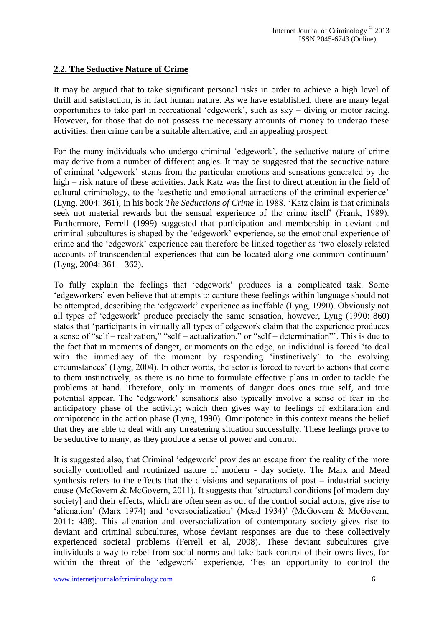### **2.2. The Seductive Nature of Crime**

It may be argued that to take significant personal risks in order to achieve a high level of thrill and satisfaction, is in fact human nature. As we have established, there are many legal opportunities to take part in recreational 'edgework', such as sky – diving or motor racing. However, for those that do not possess the necessary amounts of money to undergo these activities, then crime can be a suitable alternative, and an appealing prospect.

For the many individuals who undergo criminal 'edgework', the seductive nature of crime may derive from a number of different angles. It may be suggested that the seductive nature of criminal 'edgework' stems from the particular emotions and sensations generated by the high – risk nature of these activities. Jack Katz was the first to direct attention in the field of cultural criminology, to the 'aesthetic and emotional attractions of the criminal experience' (Lyng, 2004: 361), in his book *The Seductions of Crime* in 1988. 'Katz claim is that criminals seek not material rewards but the sensual experience of the crime itself' (Frank, 1989). Furthermore, Ferrell (1999) suggested that participation and membership in deviant and criminal subcultures is shaped by the 'edgework' experience, so the emotional experience of crime and the 'edgework' experience can therefore be linked together as 'two closely related accounts of transcendental experiences that can be located along one common continuum' (Lyng, 2004: 361 – 362).

To fully explain the feelings that 'edgework' produces is a complicated task. Some 'edgeworkers' even believe that attempts to capture these feelings within language should not be attempted, describing the 'edgework' experience as ineffable (Lyng, 1990). Obviously not all types of 'edgework' produce precisely the same sensation, however, Lyng (1990: 860) states that 'participants in virtually all types of edgework claim that the experience produces a sense of "self – realization," "self – actualization," or "self – determination"'. This is due to the fact that in moments of danger, or moments on the edge, an individual is forced 'to deal with the immediacy of the moment by responding 'instinctively' to the evolving circumstances' (Lyng, 2004). In other words, the actor is forced to revert to actions that come to them instinctively, as there is no time to formulate effective plans in order to tackle the problems at hand. Therefore, only in moments of danger does ones true self, and true potential appear. The 'edgework' sensations also typically involve a sense of fear in the anticipatory phase of the activity; which then gives way to feelings of exhilaration and omnipotence in the action phase (Lyng, 1990). Omnipotence in this context means the belief that they are able to deal with any threatening situation successfully. These feelings prove to be seductive to many, as they produce a sense of power and control.

It is suggested also, that Criminal 'edgework' provides an escape from the reality of the more socially controlled and routinized nature of modern - day society. The Marx and Mead synthesis refers to the effects that the divisions and separations of post – industrial society cause (McGovern & McGovern, 2011). It suggests that 'structural conditions [of modern day society] and their effects, which are often seen as out of the control social actors, give rise to 'alienation' (Marx 1974) and 'oversocialization' (Mead 1934)' (McGovern & McGovern, 2011: 488). This alienation and oversocialization of contemporary society gives rise to deviant and criminal subcultures, whose deviant responses are due to these collectively experienced societal problems (Ferrell et al, 2008). These deviant subcultures give individuals a way to rebel from social norms and take back control of their owns lives, for within the threat of the 'edgework' experience, 'lies an opportunity to control the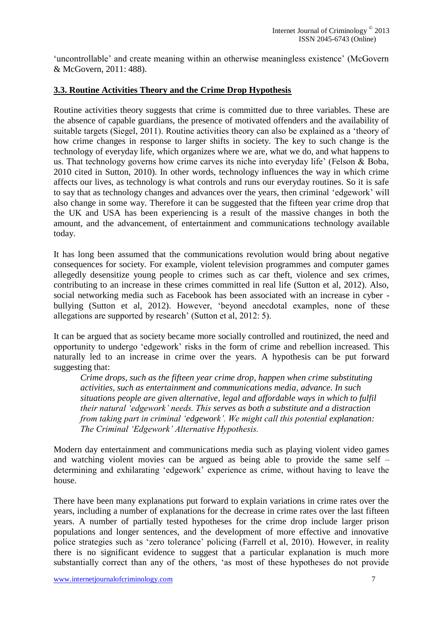'uncontrollable' and create meaning within an otherwise meaningless existence' (McGovern & McGovern, 2011: 488).

#### **3.3. Routine Activities Theory and the Crime Drop Hypothesis**

Routine activities theory suggests that crime is committed due to three variables. These are the absence of capable guardians, the presence of motivated offenders and the availability of suitable targets (Siegel, 2011). Routine activities theory can also be explained as a 'theory of how crime changes in response to larger shifts in society. The key to such change is the technology of everyday life, which organizes where we are, what we do, and what happens to us. That technology governs how crime carves its niche into everyday life' (Felson & Boba, 2010 cited in Sutton, 2010). In other words, technology influences the way in which crime affects our lives, as technology is what controls and runs our everyday routines. So it is safe to say that as technology changes and advances over the years, then criminal 'edgework' will also change in some way. Therefore it can be suggested that the fifteen year crime drop that the UK and USA has been experiencing is a result of the massive changes in both the amount, and the advancement, of entertainment and communications technology available today.

It has long been assumed that the communications revolution would bring about negative consequences for society. For example, violent television programmes and computer games allegedly desensitize young people to crimes such as car theft, violence and sex crimes, contributing to an increase in these crimes committed in real life (Sutton et al, 2012). Also, social networking media such as Facebook has been associated with an increase in cyber bullying (Sutton et al, 2012). However, 'beyond anecdotal examples, none of these allegations are supported by research' (Sutton et al, 2012: 5).

It can be argued that as society became more socially controlled and routinized, the need and opportunity to undergo 'edgework' risks in the form of crime and rebellion increased. This naturally led to an increase in crime over the years. A hypothesis can be put forward suggesting that:

*Crime drops, such as the fifteen year crime drop, happen when crime substituting activities, such as entertainment and communications media, advance. In such situations people are given alternative, legal and affordable ways in which to fulfil their natural 'edgework' needs. This serves as both a substitute and a distraction from taking part in criminal 'edgework'. We might call this potential explanation: The Criminal 'Edgework' Alternative Hypothesis.*

Modern day entertainment and communications media such as playing violent video games and watching violent movies can be argued as being able to provide the same self – determining and exhilarating 'edgework' experience as crime, without having to leave the house.

There have been many explanations put forward to explain variations in crime rates over the years, including a number of explanations for the decrease in crime rates over the last fifteen years. A number of partially tested hypotheses for the crime drop include larger prison populations and longer sentences, and the development of more effective and innovative police strategies such as 'zero tolerance' policing (Farrell et al, 2010). However, in reality there is no significant evidence to suggest that a particular explanation is much more substantially correct than any of the others, 'as most of these hypotheses do not provide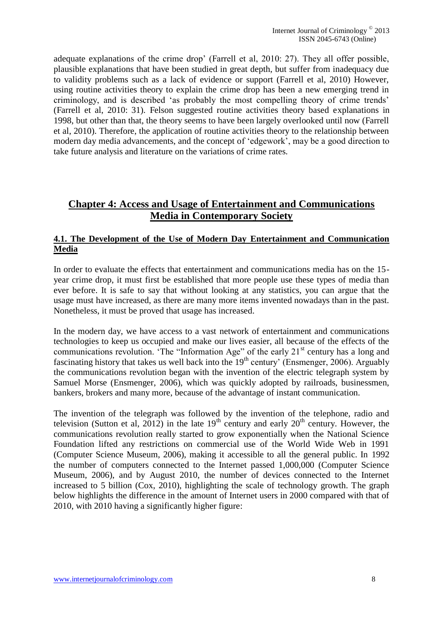adequate explanations of the crime drop' (Farrell et al, 2010: 27). They all offer possible, plausible explanations that have been studied in great depth, but suffer from inadequacy due to validity problems such as a lack of evidence or support (Farrell et al, 2010) However, using routine activities theory to explain the crime drop has been a new emerging trend in criminology, and is described 'as probably the most compelling theory of crime trends' (Farrell et al, 2010: 31). Felson suggested routine activities theory based explanations in 1998, but other than that, the theory seems to have been largely overlooked until now (Farrell et al, 2010). Therefore, the application of routine activities theory to the relationship between modern day media advancements, and the concept of 'edgework', may be a good direction to take future analysis and literature on the variations of crime rates.

# **Chapter 4: Access and Usage of Entertainment and Communications Media in Contemporary Society**

### **4.1. The Development of the Use of Modern Day Entertainment and Communication Media**

In order to evaluate the effects that entertainment and communications media has on the 15 year crime drop, it must first be established that more people use these types of media than ever before. It is safe to say that without looking at any statistics, you can argue that the usage must have increased, as there are many more items invented nowadays than in the past. Nonetheless, it must be proved that usage has increased.

In the modern day, we have access to a vast network of entertainment and communications technologies to keep us occupied and make our lives easier, all because of the effects of the communications revolution. 'The "Information Age" of the early  $21<sup>st</sup>$  century has a long and fascinating history that takes us well back into the  $19<sup>th</sup>$  century' (Ensmenger, 2006). Arguably the communications revolution began with the invention of the electric telegraph system by Samuel Morse (Ensmenger, 2006), which was quickly adopted by railroads, businessmen, bankers, brokers and many more, because of the advantage of instant communication.

The invention of the telegraph was followed by the invention of the telephone, radio and television (Sutton et al, 2012) in the late  $19<sup>th</sup>$  century and early 20<sup>th</sup> century. However, the communications revolution really started to grow exponentially when the National Science Foundation lifted any restrictions on commercial use of the World Wide Web in 1991 (Computer Science Museum, 2006), making it accessible to all the general public. In 1992 the number of computers connected to the Internet passed 1,000,000 (Computer Science Museum, 2006), and by August 2010, the number of devices connected to the Internet increased to 5 billion (Cox, 2010), highlighting the scale of technology growth. The graph below highlights the difference in the amount of Internet users in 2000 compared with that of 2010, with 2010 having a significantly higher figure: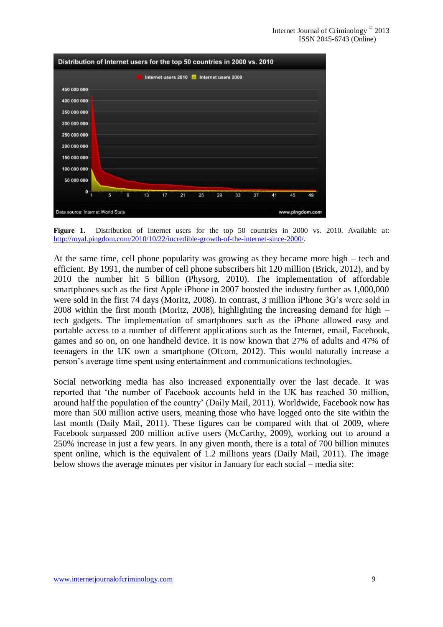

Figure 1. Distribution of Internet users for the top 50 countries in 2000 vs. 2010. Available at: http://royal.pingdom.com/2010/10/22/incredible-growth-of-the-internet-since-2000/.

At the same time, cell phone popularity was growing as they became more high – tech and efficient. By 1991, the number of cell phone subscribers hit 120 million (Brick, 2012), and by 2010 the number hit 5 billion (Physorg, 2010). The implementation of affordable smartphones such as the first Apple iPhone in 2007 boosted the industry further as 1,000,000 were sold in the first 74 days (Moritz, 2008). In contrast, 3 million iPhone 3G's were sold in 2008 within the first month (Moritz, 2008), highlighting the increasing demand for high – tech gadgets. The implementation of smartphones such as the iPhone allowed easy and portable access to a number of different applications such as the Internet, email, Facebook, games and so on, on one handheld device. It is now known that 27% of adults and 47% of teenagers in the UK own a smartphone (Ofcom, 2012). This would naturally increase a person's average time spent using entertainment and communications technologies.

Social networking media has also increased exponentially over the last decade. It was reported that 'the number of Facebook accounts held in the UK has reached 30 million, around half the population of the country' (Daily Mail, 2011). Worldwide, Facebook now has more than 500 million active users, meaning those who have logged onto the site within the last month (Daily Mail, 2011). These figures can be compared with that of 2009, where Facebook surpassed 200 million active users (McCarthy, 2009), working out to around a 250% increase in just a few years. In any given month, there is a total of 700 billion minutes spent online, which is the equivalent of 1.2 millions years (Daily Mail, 2011). The image below shows the average minutes per visitor in January for each social – media site: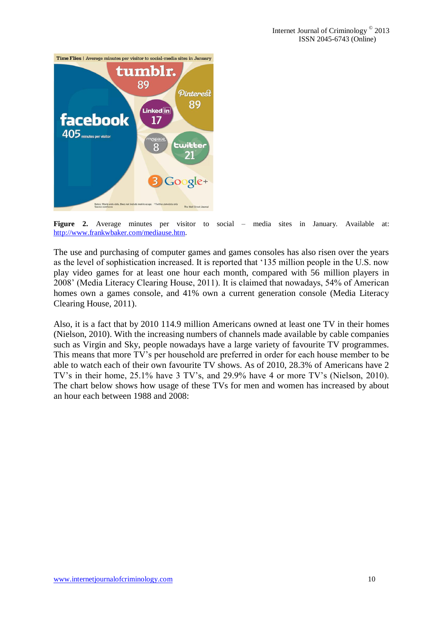

**Figure 2.** Average minutes per visitor to social – media sites in January. Available at: http://www.frankwbaker.com/mediause.htm.

The use and purchasing of computer games and games consoles has also risen over the years as the level of sophistication increased. It is reported that '135 million people in the U.S. now play video games for at least one hour each month, compared with 56 million players in 2008' (Media Literacy Clearing House, 2011). It is claimed that nowadays, 54% of American homes own a games console, and 41% own a current generation console (Media Literacy Clearing House, 2011).

Also, it is a fact that by 2010 114.9 million Americans owned at least one TV in their homes (Nielson, 2010). With the increasing numbers of channels made available by cable companies such as Virgin and Sky, people nowadays have a large variety of favourite TV programmes. This means that more TV's per household are preferred in order for each house member to be able to watch each of their own favourite TV shows. As of 2010, 28.3% of Americans have 2 TV's in their home, 25.1% have 3 TV's, and 29.9% have 4 or more TV's (Nielson, 2010). The chart below shows how usage of these TVs for men and women has increased by about an hour each between 1988 and 2008: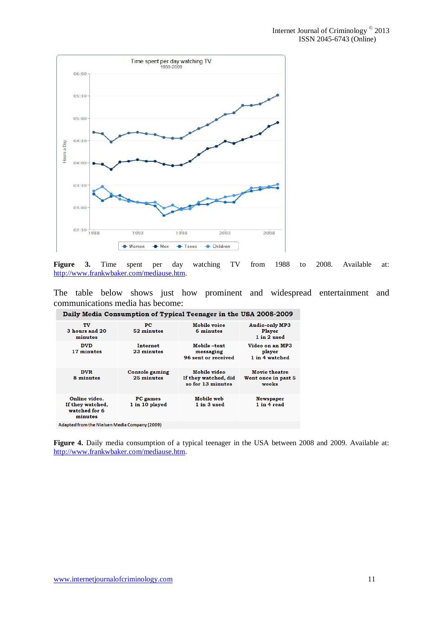

**Figure 3.** Time spent per day watching TV from 1988 to 2008. Available at: http://www.frankwbaker.com/mediause.htm.

The table below shows just how prominent and widespread entertainment and communications media has become:

| Daily Media Consumption of Typical Teenager in the USA 2008-2009 |                              |                                                           |                                                       |  |
|------------------------------------------------------------------|------------------------------|-----------------------------------------------------------|-------------------------------------------------------|--|
| TV<br>3 hours and 20<br>minutes                                  | PC.<br>52 minutes            | Mobile voice<br>6 minutes                                 | <b>Audio-only MP3</b><br><b>Player</b><br>1 in 2 used |  |
| <b>DVD</b><br>17 minutes                                         | Internet<br>23 minutes       | Mobile-text<br>messaging<br>96 sent or received           | Video on an MP3<br>player<br>1 in 4 watched           |  |
| <b>DVR</b><br>8 minutes                                          | Console gaming<br>25 minutes | Mobile video<br>If they watched, did<br>so for 13 minutes | <b>Movie theatre</b><br>Went once in past 5<br>weeks  |  |
| Online video.<br>If they watched,<br>watched for 6<br>minutes    | PC games<br>1 in 10 played   | Mobile web<br>1 in 3 used                                 | <b>Newspaper</b><br>1 in 4 read                       |  |
| Adapted from the Nielsen Media Company (2009)                    |                              |                                                           |                                                       |  |

**Figure 4.** Daily media consumption of a typical teenager in the USA between 2008 and 2009. Available at: http://www.frankwbaker.com/mediause.htm.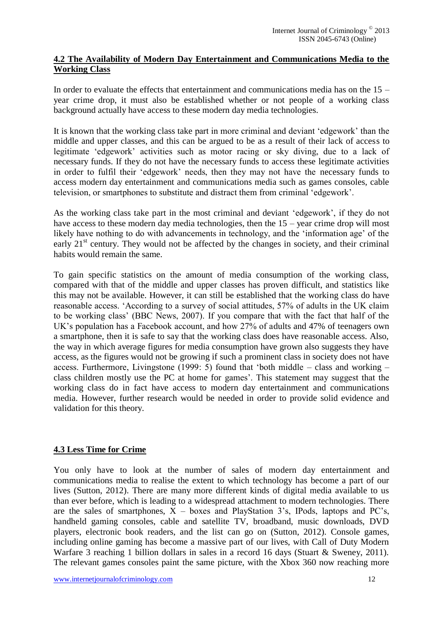#### **4.2 The Availability of Modern Day Entertainment and Communications Media to the Working Class**

In order to evaluate the effects that entertainment and communications media has on the  $15$ year crime drop, it must also be established whether or not people of a working class background actually have access to these modern day media technologies.

It is known that the working class take part in more criminal and deviant 'edgework' than the middle and upper classes, and this can be argued to be as a result of their lack of access to legitimate 'edgework' activities such as motor racing or sky diving, due to a lack of necessary funds. If they do not have the necessary funds to access these legitimate activities in order to fulfil their 'edgework' needs, then they may not have the necessary funds to access modern day entertainment and communications media such as games consoles, cable television, or smartphones to substitute and distract them from criminal 'edgework'.

As the working class take part in the most criminal and deviant 'edgework', if they do not have access to these modern day media technologies, then the 15 – year crime drop will most likely have nothing to do with advancements in technology, and the 'information age' of the early  $21<sup>st</sup>$  century. They would not be affected by the changes in society, and their criminal habits would remain the same.

To gain specific statistics on the amount of media consumption of the working class, compared with that of the middle and upper classes has proven difficult, and statistics like this may not be available. However, it can still be established that the working class do have reasonable access. 'According to a survey of social attitudes, 57% of adults in the UK claim to be working class' (BBC News, 2007). If you compare that with the fact that half of the UK's population has a Facebook account, and how 27% of adults and 47% of teenagers own a smartphone, then it is safe to say that the working class does have reasonable access. Also, the way in which average figures for media consumption have grown also suggests they have access, as the figures would not be growing if such a prominent class in society does not have access. Furthermore, Livingstone (1999: 5) found that 'both middle – class and working – class children mostly use the PC at home for games'. This statement may suggest that the working class do in fact have access to modern day entertainment and communications media. However, further research would be needed in order to provide solid evidence and validation for this theory.

## **4.3 Less Time for Crime**

You only have to look at the number of sales of modern day entertainment and communications media to realise the extent to which technology has become a part of our lives (Sutton, 2012). There are many more different kinds of digital media available to us than ever before, which is leading to a widespread attachment to modern technologies. There are the sales of smartphones,  $X -$  boxes and PlayStation 3's, IPods, laptops and PC's, handheld gaming consoles, cable and satellite TV, broadband, music downloads, DVD players, electronic book readers, and the list can go on (Sutton, 2012). Console games, including online gaming has become a massive part of our lives, with Call of Duty Modern Warfare 3 reaching 1 billion dollars in sales in a record 16 days (Stuart & Sweney, 2011). The relevant games consoles paint the same picture, with the Xbox 360 now reaching more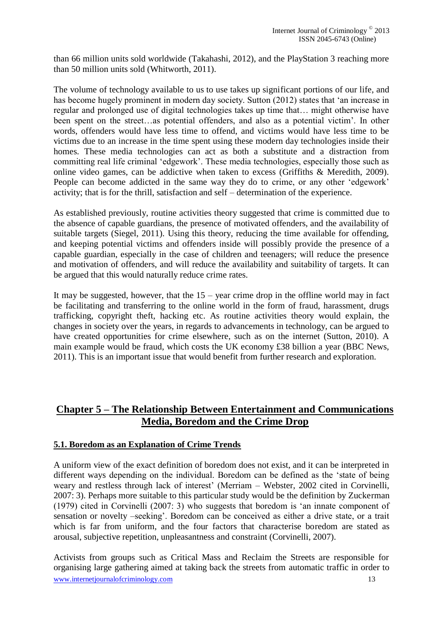than 66 million units sold worldwide (Takahashi, 2012), and the PlayStation 3 reaching more than 50 million units sold (Whitworth, 2011).

The volume of technology available to us to use takes up significant portions of our life, and has become hugely prominent in modern day society. Sutton (2012) states that 'an increase in regular and prolonged use of digital technologies takes up time that… might otherwise have been spent on the street…as potential offenders, and also as a potential victim'. In other words, offenders would have less time to offend, and victims would have less time to be victims due to an increase in the time spent using these modern day technologies inside their homes. These media technologies can act as both a substitute and a distraction from committing real life criminal 'edgework'. These media technologies, especially those such as online video games, can be addictive when taken to excess (Griffiths & Meredith, 2009). People can become addicted in the same way they do to crime, or any other 'edgework' activity; that is for the thrill, satisfaction and self – determination of the experience.

As established previously, routine activities theory suggested that crime is committed due to the absence of capable guardians, the presence of motivated offenders, and the availability of suitable targets (Siegel, 2011). Using this theory, reducing the time available for offending, and keeping potential victims and offenders inside will possibly provide the presence of a capable guardian, especially in the case of children and teenagers; will reduce the presence and motivation of offenders, and will reduce the availability and suitability of targets. It can be argued that this would naturally reduce crime rates.

It may be suggested, however, that the  $15$  – year crime drop in the offline world may in fact be facilitating and transferring to the online world in the form of fraud, harassment, drugs trafficking, copyright theft, hacking etc. As routine activities theory would explain, the changes in society over the years, in regards to advancements in technology, can be argued to have created opportunities for crime elsewhere, such as on the internet (Sutton, 2010). A main example would be fraud, which costs the UK economy £38 billion a year (BBC News, 2011). This is an important issue that would benefit from further research and exploration.

# **Chapter 5 – The Relationship Between Entertainment and Communications Media, Boredom and the Crime Drop**

## **5.1. Boredom as an Explanation of Crime Trends**

A uniform view of the exact definition of boredom does not exist, and it can be interpreted in different ways depending on the individual. Boredom can be defined as the 'state of being weary and restless through lack of interest' (Merriam – Webster, 2002 cited in Corvinelli, 2007: 3). Perhaps more suitable to this particular study would be the definition by Zuckerman (1979) cited in Corvinelli (2007: 3) who suggests that boredom is 'an innate component of sensation or novelty –seeking'. Boredom can be conceived as either a drive state, or a trait which is far from uniform, and the four factors that characterise boredom are stated as arousal, subjective repetition, unpleasantness and constraint (Corvinelli, 2007).

www.internetjournalofcriminology.com 13 Activists from groups such as Critical Mass and Reclaim the Streets are responsible for organising large gathering aimed at taking back the streets from automatic traffic in order to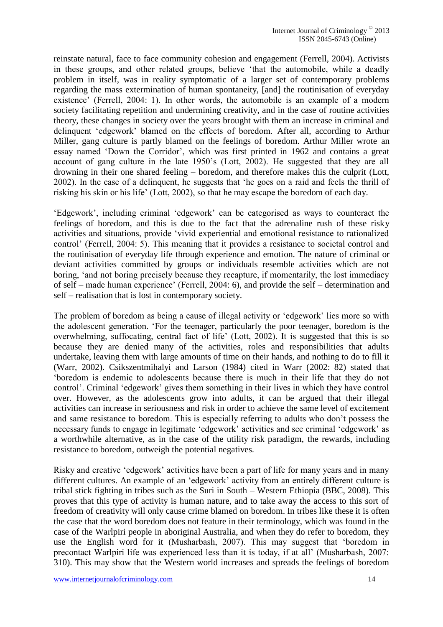reinstate natural, face to face community cohesion and engagement (Ferrell, 2004). Activists in these groups, and other related groups, believe 'that the automobile, while a deadly problem in itself, was in reality symptomatic of a larger set of contemporary problems regarding the mass extermination of human spontaneity, [and] the routinisation of everyday existence' (Ferrell, 2004: 1). In other words, the automobile is an example of a modern society facilitating repetition and undermining creativity, and in the case of routine activities theory, these changes in society over the years brought with them an increase in criminal and delinquent 'edgework' blamed on the effects of boredom. After all, according to Arthur Miller, gang culture is partly blamed on the feelings of boredom. Arthur Miller wrote an essay named 'Down the Corridor', which was first printed in 1962 and contains a great account of gang culture in the late 1950's (Lott, 2002). He suggested that they are all drowning in their one shared feeling – boredom, and therefore makes this the culprit (Lott, 2002). In the case of a delinquent, he suggests that 'he goes on a raid and feels the thrill of risking his skin or his life' (Lott, 2002), so that he may escape the boredom of each day.

'Edgework', including criminal 'edgework' can be categorised as ways to counteract the feelings of boredom, and this is due to the fact that the adrenaline rush of these risky activities and situations, provide 'vivid experiential and emotional resistance to rationalized control' (Ferrell, 2004: 5). This meaning that it provides a resistance to societal control and the routinisation of everyday life through experience and emotion. The nature of criminal or deviant activities committed by groups or individuals resemble activities which are not boring, 'and not boring precisely because they recapture, if momentarily, the lost immediacy of self – made human experience' (Ferrell, 2004: 6), and provide the self – determination and self – realisation that is lost in contemporary society.

The problem of boredom as being a cause of illegal activity or 'edgework' lies more so with the adolescent generation. 'For the teenager, particularly the poor teenager, boredom is the overwhelming, suffocating, central fact of life' (Lott, 2002). It is suggested that this is so because they are denied many of the activities, roles and responsibilities that adults undertake, leaving them with large amounts of time on their hands, and nothing to do to fill it (Warr, 2002). Csikszentmihalyi and Larson (1984) cited in Warr (2002: 82) stated that 'boredom is endemic to adolescents because there is much in their life that they do not control'. Criminal 'edgework' gives them something in their lives in which they have control over. However, as the adolescents grow into adults, it can be argued that their illegal activities can increase in seriousness and risk in order to achieve the same level of excitement and same resistance to boredom. This is especially referring to adults who don't possess the necessary funds to engage in legitimate 'edgework' activities and see criminal 'edgework' as a worthwhile alternative, as in the case of the utility risk paradigm, the rewards, including resistance to boredom, outweigh the potential negatives.

Risky and creative 'edgework' activities have been a part of life for many years and in many different cultures. An example of an 'edgework' activity from an entirely different culture is tribal stick fighting in tribes such as the Suri in South – Western Ethiopia (BBC, 2008). This proves that this type of activity is human nature, and to take away the access to this sort of freedom of creativity will only cause crime blamed on boredom. In tribes like these it is often the case that the word boredom does not feature in their terminology, which was found in the case of the Warlpiri people in aboriginal Australia, and when they do refer to boredom, they use the English word for it (Musharbash, 2007). This may suggest that 'boredom in precontact Warlpiri life was experienced less than it is today, if at all' (Musharbash, 2007: 310). This may show that the Western world increases and spreads the feelings of boredom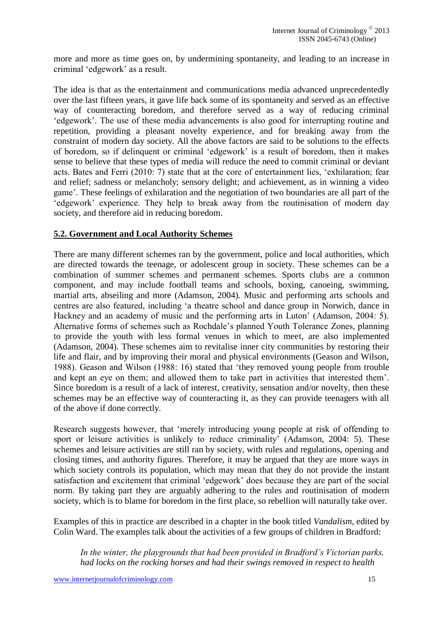more and more as time goes on, by undermining spontaneity, and leading to an increase in criminal 'edgework' as a result.

The idea is that as the entertainment and communications media advanced unprecedentedly over the last fifteen years, it gave life back some of its spontaneity and served as an effective way of counteracting boredom, and therefore served as a way of reducing criminal 'edgework'. The use of these media advancements is also good for interrupting routine and repetition, providing a pleasant novelty experience, and for breaking away from the constraint of modern day society. All the above factors are said to be solutions to the effects of boredom, so if delinquent or criminal 'edgework' is a result of boredom, then it makes sense to believe that these types of media will reduce the need to commit criminal or deviant acts. Bates and Ferri (2010: 7) state that at the core of entertainment lies, 'exhilaration; fear and relief; sadness or melancholy; sensory delight; and achievement, as in winning a video game'. These feelings of exhilaration and the negotiation of two boundaries are all part of the 'edgework' experience. They help to break away from the routinisation of modern day society, and therefore aid in reducing boredom.

#### **5.2. Government and Local Authority Schemes**

There are many different schemes ran by the government, police and local authorities, which are directed towards the teenage, or adolescent group in society. These schemes can be a combination of summer schemes and permanent schemes. Sports clubs are a common component, and may include football teams and schools, boxing, canoeing, swimming, martial arts, abseiling and more (Adamson, 2004). Music and performing arts schools and centres are also featured, including 'a theatre school and dance group in Norwich, dance in Hackney and an academy of music and the performing arts in Luton' (Adamson, 2004: 5). Alternative forms of schemes such as Rochdale's planned Youth Tolerance Zones, planning to provide the youth with less formal venues in which to meet, are also implemented (Adamson, 2004). These schemes aim to revitalise inner city communities by restoring their life and flair, and by improving their moral and physical environments (Geason and Wilson, 1988). Geason and Wilson (1988: 16) stated that 'they removed young people from trouble and kept an eye on them; and allowed them to take part in activities that interested them'. Since boredom is a result of a lack of interest, creativity, sensation and/or novelty, then these schemes may be an effective way of counteracting it, as they can provide teenagers with all of the above if done correctly.

Research suggests however, that 'merely introducing young people at risk of offending to sport or leisure activities is unlikely to reduce criminality' (Adamson, 2004: 5). These schemes and leisure activities are still ran by society, with rules and regulations, opening and closing times, and authority figures. Therefore, it may be argued that they are more ways in which society controls its population, which may mean that they do not provide the instant satisfaction and excitement that criminal 'edgework' does because they are part of the social norm. By taking part they are arguably adhering to the rules and routinisation of modern society, which is to blame for boredom in the first place, so rebellion will naturally take over.

Examples of this in practice are described in a chapter in the book titled *Vandalism*, edited by Colin Ward. The examples talk about the activities of a few groups of children in Bradford:

*In the winter, the playgrounds that had been provided in Bradford's Victorian parks, had locks on the rocking horses and had their swings removed in respect to health*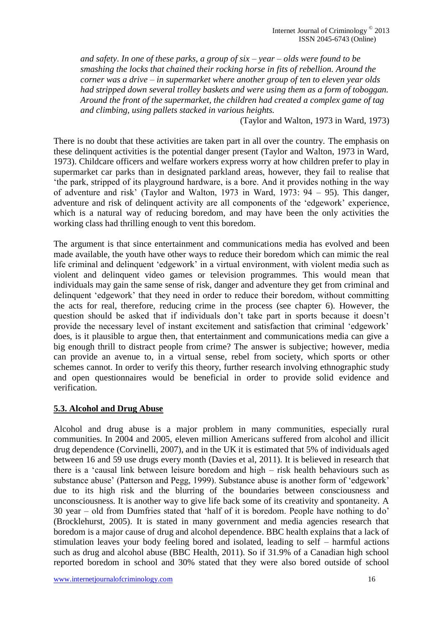*and safety. In one of these parks, a group of six – year – olds were found to be smashing the locks that chained their rocking horse in fits of rebellion. Around the corner was a drive – in supermarket where another group of ten to eleven year olds had stripped down several trolley baskets and were using them as a form of toboggan. Around the front of the supermarket, the children had created a complex game of tag and climbing, using pallets stacked in various heights.*

(Taylor and Walton, 1973 in Ward, 1973)

There is no doubt that these activities are taken part in all over the country. The emphasis on these delinquent activities is the potential danger present (Taylor and Walton, 1973 in Ward, 1973). Childcare officers and welfare workers express worry at how children prefer to play in supermarket car parks than in designated parkland areas, however, they fail to realise that 'the park, stripped of its playground hardware, is a bore. And it provides nothing in the way of adventure and risk' (Taylor and Walton, 1973 in Ward, 1973: 94 – 95). This danger, adventure and risk of delinquent activity are all components of the 'edgework' experience, which is a natural way of reducing boredom, and may have been the only activities the working class had thrilling enough to vent this boredom.

The argument is that since entertainment and communications media has evolved and been made available, the youth have other ways to reduce their boredom which can mimic the real life criminal and delinquent 'edgework' in a virtual environment, with violent media such as violent and delinquent video games or television programmes. This would mean that individuals may gain the same sense of risk, danger and adventure they get from criminal and delinquent 'edgework' that they need in order to reduce their boredom, without committing the acts for real, therefore, reducing crime in the process (see chapter 6). However, the question should be asked that if individuals don't take part in sports because it doesn't provide the necessary level of instant excitement and satisfaction that criminal 'edgework' does, is it plausible to argue then, that entertainment and communications media can give a big enough thrill to distract people from crime? The answer is subjective; however, media can provide an avenue to, in a virtual sense, rebel from society, which sports or other schemes cannot. In order to verify this theory, further research involving ethnographic study and open questionnaires would be beneficial in order to provide solid evidence and verification.

#### **5.3. Alcohol and Drug Abuse**

Alcohol and drug abuse is a major problem in many communities, especially rural communities. In 2004 and 2005, eleven million Americans suffered from alcohol and illicit drug dependence (Corvinelli, 2007), and in the UK it is estimated that 5% of individuals aged between 16 and 59 use drugs every month (Davies et al, 2011). It is believed in research that there is a 'causal link between leisure boredom and high – risk health behaviours such as substance abuse' (Patterson and Pegg, 1999). Substance abuse is another form of 'edgework' due to its high risk and the blurring of the boundaries between consciousness and unconsciousness. It is another way to give life back some of its creativity and spontaneity. A 30 year – old from Dumfries stated that 'half of it is boredom. People have nothing to do' (Brocklehurst, 2005). It is stated in many government and media agencies research that boredom is a major cause of drug and alcohol dependence. BBC health explains that a lack of stimulation leaves your body feeling bored and isolated, leading to self – harmful actions such as drug and alcohol abuse (BBC Health, 2011). So if 31.9% of a Canadian high school reported boredom in school and 30% stated that they were also bored outside of school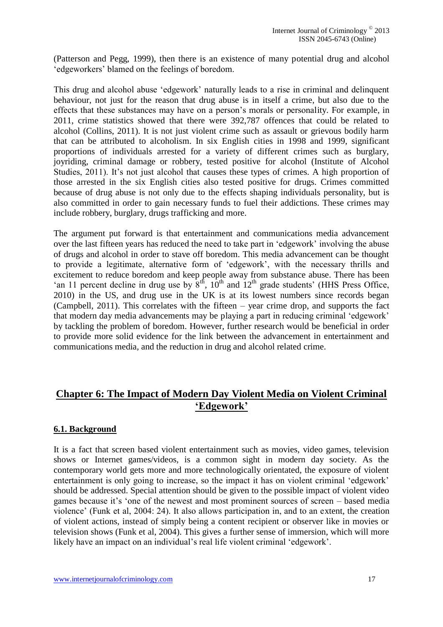(Patterson and Pegg, 1999), then there is an existence of many potential drug and alcohol 'edgeworkers' blamed on the feelings of boredom.

This drug and alcohol abuse 'edgework' naturally leads to a rise in criminal and delinquent behaviour, not just for the reason that drug abuse is in itself a crime, but also due to the effects that these substances may have on a person's morals or personality. For example, in 2011, crime statistics showed that there were 392,787 offences that could be related to alcohol (Collins, 2011). It is not just violent crime such as assault or grievous bodily harm that can be attributed to alcoholism. In six English cities in 1998 and 1999, significant proportions of individuals arrested for a variety of different crimes such as burglary, joyriding, criminal damage or robbery, tested positive for alcohol (Institute of Alcohol Studies, 2011). It's not just alcohol that causes these types of crimes. A high proportion of those arrested in the six English cities also tested positive for drugs. Crimes committed because of drug abuse is not only due to the effects shaping individuals personality, but is also committed in order to gain necessary funds to fuel their addictions. These crimes may include robbery, burglary, drugs trafficking and more.

The argument put forward is that entertainment and communications media advancement over the last fifteen years has reduced the need to take part in 'edgework' involving the abuse of drugs and alcohol in order to stave off boredom. This media advancement can be thought to provide a legitimate, alternative form of 'edgework', with the necessary thrills and excitement to reduce boredom and keep people away from substance abuse. There has been 'an 11 percent decline in drug use by  $8<sup>th</sup>$ ,  $10<sup>th</sup>$  and  $12<sup>th</sup>$  grade students' (HHS Press Office, 2010) in the US, and drug use in the UK is at its lowest numbers since records began (Campbell, 2011). This correlates with the fifteen – year crime drop, and supports the fact that modern day media advancements may be playing a part in reducing criminal 'edgework' by tackling the problem of boredom. However, further research would be beneficial in order to provide more solid evidence for the link between the advancement in entertainment and communications media, and the reduction in drug and alcohol related crime.

# **Chapter 6: The Impact of Modern Day Violent Media on Violent Criminal 'Edgework'**

#### **6.1. Background**

It is a fact that screen based violent entertainment such as movies, video games, television shows or Internet games/videos, is a common sight in modern day society. As the contemporary world gets more and more technologically orientated, the exposure of violent entertainment is only going to increase, so the impact it has on violent criminal 'edgework' should be addressed. Special attention should be given to the possible impact of violent video games because it's 'one of the newest and most prominent sources of screen – based media violence' (Funk et al, 2004: 24). It also allows participation in, and to an extent, the creation of violent actions, instead of simply being a content recipient or observer like in movies or television shows (Funk et al, 2004). This gives a further sense of immersion, which will more likely have an impact on an individual's real life violent criminal 'edgework'.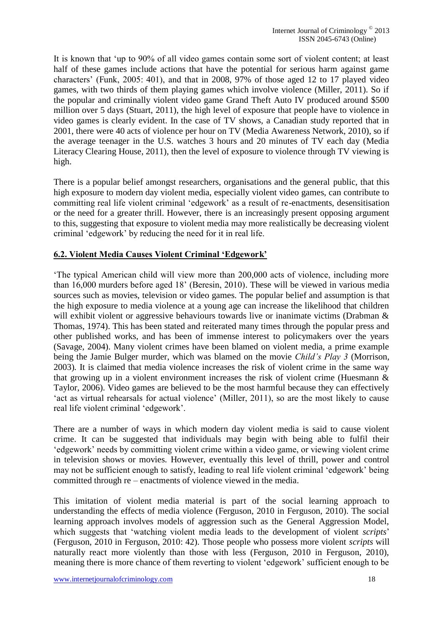It is known that 'up to 90% of all video games contain some sort of violent content; at least half of these games include actions that have the potential for serious harm against game characters' (Funk, 2005: 401), and that in 2008, 97% of those aged 12 to 17 played video games, with two thirds of them playing games which involve violence (Miller, 2011). So if the popular and criminally violent video game Grand Theft Auto IV produced around \$500 million over 5 days (Stuart, 2011), the high level of exposure that people have to violence in video games is clearly evident. In the case of TV shows, a Canadian study reported that in 2001, there were 40 acts of violence per hour on TV (Media Awareness Network, 2010), so if the average teenager in the U.S. watches 3 hours and 20 minutes of TV each day (Media Literacy Clearing House, 2011), then the level of exposure to violence through TV viewing is high.

There is a popular belief amongst researchers, organisations and the general public, that this high exposure to modern day violent media, especially violent video games, can contribute to committing real life violent criminal 'edgework' as a result of re-enactments, desensitisation or the need for a greater thrill. However, there is an increasingly present opposing argument to this, suggesting that exposure to violent media may more realistically be decreasing violent criminal 'edgework' by reducing the need for it in real life.

#### **6.2. Violent Media Causes Violent Criminal 'Edgework'**

'The typical American child will view more than 200,000 acts of violence, including more than 16,000 murders before aged 18' (Beresin, 2010). These will be viewed in various media sources such as movies, television or video games. The popular belief and assumption is that the high exposure to media violence at a young age can increase the likelihood that children will exhibit violent or aggressive behaviours towards live or inanimate victims (Drabman & Thomas, 1974). This has been stated and reiterated many times through the popular press and other published works, and has been of immense interest to policymakers over the years (Savage, 2004). Many violent crimes have been blamed on violent media, a prime example being the Jamie Bulger murder, which was blamed on the movie *Child's Play 3* (Morrison, 2003)*.* It is claimed that media violence increases the risk of violent crime in the same way that growing up in a violent environment increases the risk of violent crime (Huesmann & Taylor, 2006). Video games are believed to be the most harmful because they can effectively 'act as virtual rehearsals for actual violence' (Miller, 2011), so are the most likely to cause real life violent criminal 'edgework'.

There are a number of ways in which modern day violent media is said to cause violent crime. It can be suggested that individuals may begin with being able to fulfil their 'edgework' needs by committing violent crime within a video game, or viewing violent crime in television shows or movies. However, eventually this level of thrill, power and control may not be sufficient enough to satisfy, leading to real life violent criminal 'edgework' being committed through re – enactments of violence viewed in the media.

This imitation of violent media material is part of the social learning approach to understanding the effects of media violence (Ferguson, 2010 in Ferguson, 2010). The social learning approach involves models of aggression such as the General Aggression Model, which suggests that 'watching violent media leads to the development of violent *scripts*' (Ferguson, 2010 in Ferguson, 2010: 42). Those people who possess more violent *scripts* will naturally react more violently than those with less (Ferguson, 2010 in Ferguson, 2010), meaning there is more chance of them reverting to violent 'edgework' sufficient enough to be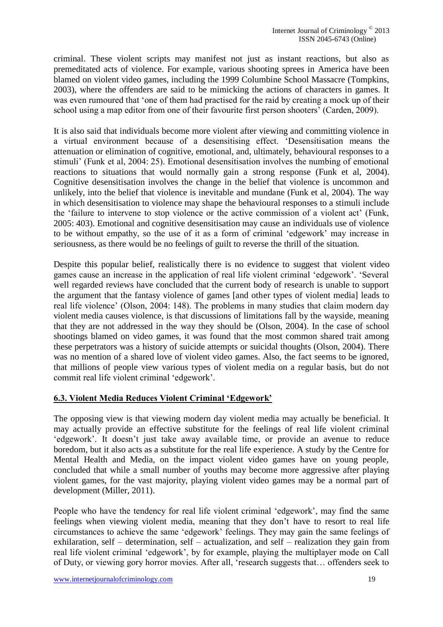criminal. These violent scripts may manifest not just as instant reactions, but also as premeditated acts of violence. For example, various shooting sprees in America have been blamed on violent video games, including the 1999 Columbine School Massacre (Tompkins, 2003), where the offenders are said to be mimicking the actions of characters in games. It was even rumoured that 'one of them had practised for the raid by creating a mock up of their school using a map editor from one of their favourite first person shooters' (Carden, 2009).

It is also said that individuals become more violent after viewing and committing violence in a virtual environment because of a desensitising effect. 'Desensitisation means the attenuation or elimination of cognitive, emotional, and, ultimately, behavioural responses to a stimuli' (Funk et al, 2004: 25). Emotional desensitisation involves the numbing of emotional reactions to situations that would normally gain a strong response (Funk et al, 2004). Cognitive desensitisation involves the change in the belief that violence is uncommon and unlikely, into the belief that violence is inevitable and mundane (Funk et al, 2004). The way in which desensitisation to violence may shape the behavioural responses to a stimuli include the 'failure to intervene to stop violence or the active commission of a violent act' (Funk, 2005: 403). Emotional and cognitive desensitisation may cause an individuals use of violence to be without empathy, so the use of it as a form of criminal 'edgework' may increase in seriousness, as there would be no feelings of guilt to reverse the thrill of the situation.

Despite this popular belief, realistically there is no evidence to suggest that violent video games cause an increase in the application of real life violent criminal 'edgework'. 'Several well regarded reviews have concluded that the current body of research is unable to support the argument that the fantasy violence of games [and other types of violent media] leads to real life violence' (Olson, 2004: 148). The problems in many studies that claim modern day violent media causes violence, is that discussions of limitations fall by the wayside, meaning that they are not addressed in the way they should be (Olson, 2004). In the case of school shootings blamed on video games, it was found that the most common shared trait among these perpetrators was a history of suicide attempts or suicidal thoughts (Olson, 2004). There was no mention of a shared love of violent video games. Also, the fact seems to be ignored, that millions of people view various types of violent media on a regular basis, but do not commit real life violent criminal 'edgework'.

#### **6.3. Violent Media Reduces Violent Criminal 'Edgework'**

The opposing view is that viewing modern day violent media may actually be beneficial. It may actually provide an effective substitute for the feelings of real life violent criminal 'edgework'. It doesn't just take away available time, or provide an avenue to reduce boredom, but it also acts as a substitute for the real life experience. A study by the Centre for Mental Health and Media, on the impact violent video games have on young people, concluded that while a small number of youths may become more aggressive after playing violent games, for the vast majority, playing violent video games may be a normal part of development (Miller, 2011).

People who have the tendency for real life violent criminal 'edgework', may find the same feelings when viewing violent media, meaning that they don't have to resort to real life circumstances to achieve the same 'edgework' feelings. They may gain the same feelings of exhilaration, self – determination, self – actualization, and self – realization they gain from real life violent criminal 'edgework', by for example, playing the multiplayer mode on Call of Duty, or viewing gory horror movies. After all, 'research suggests that… offenders seek to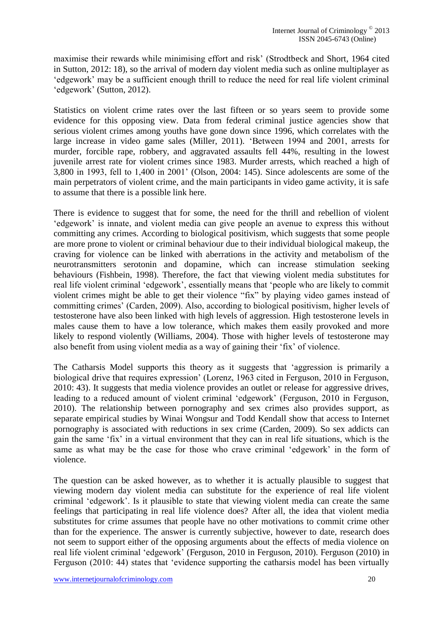maximise their rewards while minimising effort and risk' (Strodtbeck and Short, 1964 cited in Sutton, 2012: 18), so the arrival of modern day violent media such as online multiplayer as 'edgework' may be a sufficient enough thrill to reduce the need for real life violent criminal 'edgework' (Sutton, 2012).

Statistics on violent crime rates over the last fifteen or so years seem to provide some evidence for this opposing view. Data from federal criminal justice agencies show that serious violent crimes among youths have gone down since 1996, which correlates with the large increase in video game sales (Miller, 2011). 'Between 1994 and 2001, arrests for murder, forcible rape, robbery, and aggravated assaults fell 44%, resulting in the lowest juvenile arrest rate for violent crimes since 1983. Murder arrests, which reached a high of 3,800 in 1993, fell to 1,400 in 2001' (Olson, 2004: 145). Since adolescents are some of the main perpetrators of violent crime, and the main participants in video game activity, it is safe to assume that there is a possible link here.

There is evidence to suggest that for some, the need for the thrill and rebellion of violent 'edgework' is innate, and violent media can give people an avenue to express this without committing any crimes. According to biological positivism, which suggests that some people are more prone to violent or criminal behaviour due to their individual biological makeup, the craving for violence can be linked with aberrations in the activity and metabolism of the neurotransmitters serotonin and dopamine, which can increase stimulation seeking behaviours (Fishbein, 1998). Therefore, the fact that viewing violent media substitutes for real life violent criminal 'edgework', essentially means that 'people who are likely to commit violent crimes might be able to get their violence "fix" by playing video games instead of committing crimes' (Carden, 2009). Also, according to biological positivism, higher levels of testosterone have also been linked with high levels of aggression. High testosterone levels in males cause them to have a low tolerance, which makes them easily provoked and more likely to respond violently (Williams, 2004). Those with higher levels of testosterone may also benefit from using violent media as a way of gaining their 'fix' of violence.

The Catharsis Model supports this theory as it suggests that 'aggression is primarily a biological drive that requires expression' (Lorenz, 1963 cited in Ferguson, 2010 in Ferguson, 2010: 43). It suggests that media violence provides an outlet or release for aggressive drives, leading to a reduced amount of violent criminal 'edgework' (Ferguson, 2010 in Ferguson, 2010). The relationship between pornography and sex crimes also provides support, as separate empirical studies by Winai Wongsur and Todd Kendall show that access to Internet pornography is associated with reductions in sex crime (Carden, 2009). So sex addicts can gain the same 'fix' in a virtual environment that they can in real life situations, which is the same as what may be the case for those who crave criminal 'edgework' in the form of violence.

The question can be asked however, as to whether it is actually plausible to suggest that viewing modern day violent media can substitute for the experience of real life violent criminal 'edgework'. Is it plausible to state that viewing violent media can create the same feelings that participating in real life violence does? After all, the idea that violent media substitutes for crime assumes that people have no other motivations to commit crime other than for the experience. The answer is currently subjective, however to date, research does not seem to support either of the opposing arguments about the effects of media violence on real life violent criminal 'edgework' (Ferguson, 2010 in Ferguson, 2010). Ferguson (2010) in Ferguson (2010: 44) states that 'evidence supporting the catharsis model has been virtually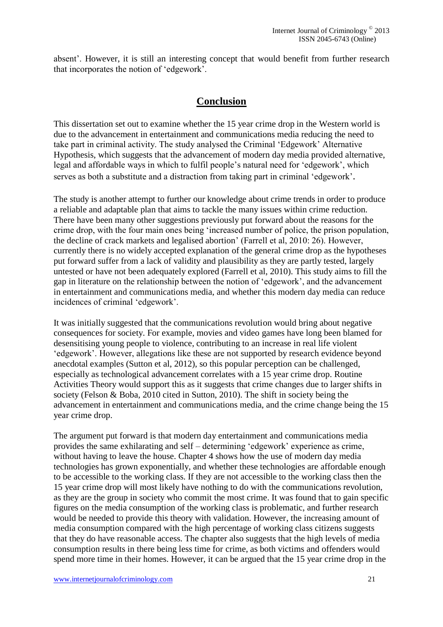absent'. However, it is still an interesting concept that would benefit from further research that incorporates the notion of 'edgework'.

## **Conclusion**

This dissertation set out to examine whether the 15 year crime drop in the Western world is due to the advancement in entertainment and communications media reducing the need to take part in criminal activity. The study analysed the Criminal 'Edgework' Alternative Hypothesis, which suggests that the advancement of modern day media provided alternative, legal and affordable ways in which to fulfil people's natural need for 'edgework', which serves as both a substitute and a distraction from taking part in criminal 'edgework'.

The study is another attempt to further our knowledge about crime trends in order to produce a reliable and adaptable plan that aims to tackle the many issues within crime reduction. There have been many other suggestions previously put forward about the reasons for the crime drop, with the four main ones being 'increased number of police, the prison population, the decline of crack markets and legalised abortion' (Farrell et al, 2010: 26). However, currently there is no widely accepted explanation of the general crime drop as the hypotheses put forward suffer from a lack of validity and plausibility as they are partly tested, largely untested or have not been adequately explored (Farrell et al, 2010). This study aims to fill the gap in literature on the relationship between the notion of 'edgework', and the advancement in entertainment and communications media, and whether this modern day media can reduce incidences of criminal 'edgework'.

It was initially suggested that the communications revolution would bring about negative consequences for society. For example, movies and video games have long been blamed for desensitising young people to violence, contributing to an increase in real life violent 'edgework'. However, allegations like these are not supported by research evidence beyond anecdotal examples (Sutton et al, 2012), so this popular perception can be challenged, especially as technological advancement correlates with a 15 year crime drop. Routine Activities Theory would support this as it suggests that crime changes due to larger shifts in society (Felson & Boba, 2010 cited in Sutton, 2010). The shift in society being the advancement in entertainment and communications media, and the crime change being the 15 year crime drop.

The argument put forward is that modern day entertainment and communications media provides the same exhilarating and self – determining 'edgework' experience as crime, without having to leave the house. Chapter 4 shows how the use of modern day media technologies has grown exponentially, and whether these technologies are affordable enough to be accessible to the working class. If they are not accessible to the working class then the 15 year crime drop will most likely have nothing to do with the communications revolution, as they are the group in society who commit the most crime. It was found that to gain specific figures on the media consumption of the working class is problematic, and further research would be needed to provide this theory with validation. However, the increasing amount of media consumption compared with the high percentage of working class citizens suggests that they do have reasonable access. The chapter also suggests that the high levels of media consumption results in there being less time for crime, as both victims and offenders would spend more time in their homes. However, it can be argued that the 15 year crime drop in the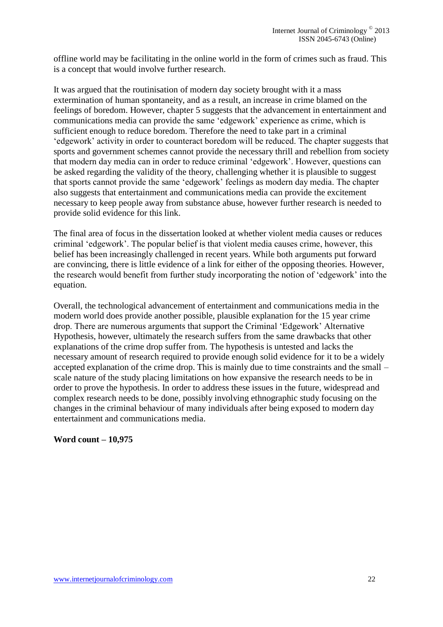offline world may be facilitating in the online world in the form of crimes such as fraud. This is a concept that would involve further research.

It was argued that the routinisation of modern day society brought with it a mass extermination of human spontaneity, and as a result, an increase in crime blamed on the feelings of boredom. However, chapter 5 suggests that the advancement in entertainment and communications media can provide the same 'edgework' experience as crime, which is sufficient enough to reduce boredom. Therefore the need to take part in a criminal 'edgework' activity in order to counteract boredom will be reduced. The chapter suggests that sports and government schemes cannot provide the necessary thrill and rebellion from society that modern day media can in order to reduce criminal 'edgework'. However, questions can be asked regarding the validity of the theory, challenging whether it is plausible to suggest that sports cannot provide the same 'edgework' feelings as modern day media. The chapter also suggests that entertainment and communications media can provide the excitement necessary to keep people away from substance abuse, however further research is needed to provide solid evidence for this link.

The final area of focus in the dissertation looked at whether violent media causes or reduces criminal 'edgework'. The popular belief is that violent media causes crime, however, this belief has been increasingly challenged in recent years. While both arguments put forward are convincing, there is little evidence of a link for either of the opposing theories. However, the research would benefit from further study incorporating the notion of 'edgework' into the equation.

Overall, the technological advancement of entertainment and communications media in the modern world does provide another possible, plausible explanation for the 15 year crime drop. There are numerous arguments that support the Criminal 'Edgework' Alternative Hypothesis, however, ultimately the research suffers from the same drawbacks that other explanations of the crime drop suffer from. The hypothesis is untested and lacks the necessary amount of research required to provide enough solid evidence for it to be a widely accepted explanation of the crime drop. This is mainly due to time constraints and the small – scale nature of the study placing limitations on how expansive the research needs to be in order to prove the hypothesis. In order to address these issues in the future, widespread and complex research needs to be done, possibly involving ethnographic study focusing on the changes in the criminal behaviour of many individuals after being exposed to modern day entertainment and communications media.

#### **Word count – 10,975**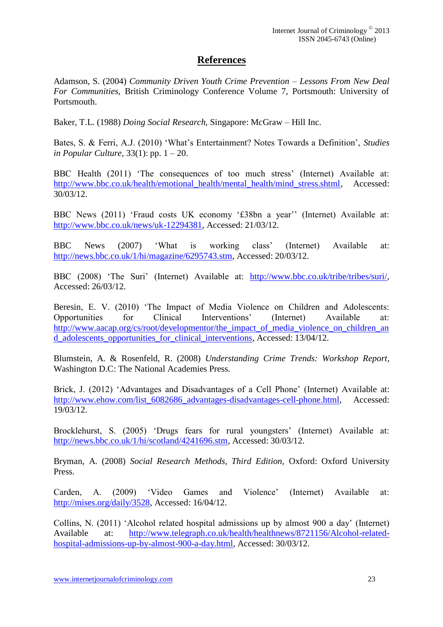## **References**

Adamson, S. (2004) *Community Driven Youth Crime Prevention – Lessons From New Deal For Communities,* British Criminology Conference Volume 7, Portsmouth: University of Portsmouth.

Baker, T.L. (1988) *Doing Social Research,* Singapore: McGraw – Hill Inc.

Bates, S. & Ferri, A.J. (2010) 'What's Entertainment? Notes Towards a Definition', *Studies in Popular Culture,* 33(1): pp. 1 – 20.

BBC Health (2011) 'The consequences of too much stress' (Internet) Available at: http://www.bbc.co.uk/health/emotional\_health/mental\_health/mind\_stress.shtml, Accessed: 30/03/12.

BBC News (2011) 'Fraud costs UK economy '£38bn a year'' (Internet) Available at: http://www.bbc.co.uk/news/uk-12294381, Accessed: 21/03/12.

BBC News (2007) 'What is working class' (Internet) Available at: http://news.bbc.co.uk/1/hi/magazine/6295743.stm, Accessed: 20/03/12.

BBC (2008) 'The Suri' (Internet) Available at: http://www.bbc.co.uk/tribe/tribes/suri/, Accessed: 26/03/12.

Beresin, E. V. (2010) 'The Impact of Media Violence on Children and Adolescents: Opportunities for Clinical Interventions' (Internet) Available at: http://www.aacap.org/cs/root/developmentor/the\_impact\_of\_media\_violence\_on\_children\_an d\_adolescents\_opportunities\_for\_clinical\_interventions, Accessed: 13/04/12.

Blumstein, A. & Rosenfeld, R. (2008) *Understanding Crime Trends: Workshop Report*, Washington D.C: The National Academies Press.

Brick, J. (2012) 'Advantages and Disadvantages of a Cell Phone' (Internet) Available at: http://www.ehow.com/list\_6082686\_advantages-disadvantages-cell-phone.html, Accessed: 19/03/12.

Brocklehurst, S. (2005) 'Drugs fears for rural youngsters' (Internet) Available at: http://news.bbc.co.uk/1/hi/scotland/4241696.stm, Accessed: 30/03/12.

Bryman, A. (2008) *Social Research Methods, Third Edition,* Oxford: Oxford University Press.

Carden, A. (2009) 'Video Games and Violence' (Internet) Available at: http://mises.org/daily/3528, Accessed: 16/04/12.

Collins, N. (2011) 'Alcohol related hospital admissions up by almost 900 a day' (Internet) Available at: http://www.telegraph.co.uk/health/healthnews/8721156/Alcohol-relatedhospital-admissions-up-by-almost-900-a-day.html, Accessed: 30/03/12.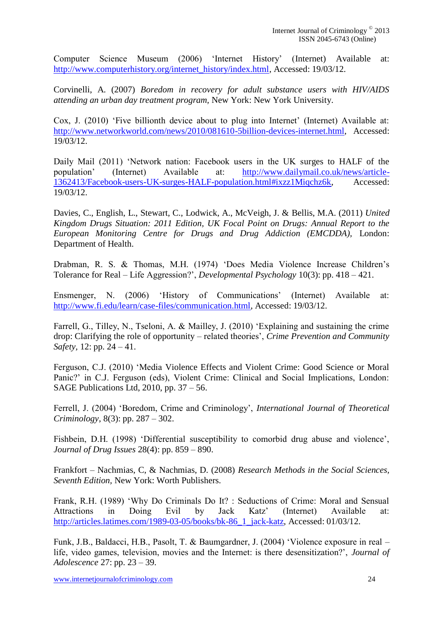Computer Science Museum (2006) 'Internet History' (Internet) Available at: http://www.computerhistory.org/internet\_history/index.html, Accessed: 19/03/12.

Corvinelli, A. (2007) *Boredom in recovery for adult substance users with HIV/AIDS attending an urban day treatment program,* New York: New York University.

Cox, J. (2010) 'Five billionth device about to plug into Internet' (Internet) Available at: http://www.networkworld.com/news/2010/081610-5billion-devices-internet.html, Accessed: 19/03/12.

Daily Mail (2011) 'Network nation: Facebook users in the UK surges to HALF of the population' (Internet) Available at: http://www.dailymail.co.uk/news/article-1362413/Facebook-users-UK-surges-HALF-population.html#ixzz1Miqchz6k, Accessed: 19/03/12.

Davies, C., English, L., Stewart, C., Lodwick, A., McVeigh, J. & Bellis, M.A. (2011) *United Kingdom Drugs Situation: 2011 Edition, UK Focal Point on Drugs: Annual Report to the European Monitoring Centre for Drugs and Drug Addiction (EMCDDA),* London: Department of Health.

Drabman, R. S. & Thomas, M.H. (1974) 'Does Media Violence Increase Children's Tolerance for Real – Life Aggression?', *Developmental Psychology* 10(3): pp. 418 – 421.

Ensmenger, N. (2006) 'History of Communications' (Internet) Available at: http://www.fi.edu/learn/case-files/communication.html, Accessed: 19/03/12.

Farrell, G., Tilley, N., Tseloni, A. & Mailley, J. (2010) 'Explaining and sustaining the crime drop: Clarifying the role of opportunity – related theories', *Crime Prevention and Community Safety,* 12: pp. 24 – 41.

Ferguson, C.J. (2010) 'Media Violence Effects and Violent Crime: Good Science or Moral Panic?' in C.J. Ferguson (eds), Violent Crime: Clinical and Social Implications, London: SAGE Publications Ltd, 2010, pp. 37 – 56.

Ferrell, J. (2004) 'Boredom, Crime and Criminology', *International Journal of Theoretical Criminology*, 8(3): pp. 287 – 302.

Fishbein, D.H. (1998) 'Differential susceptibility to comorbid drug abuse and violence', *Journal of Drug Issues* 28(4): pp. 859 – 890.

Frankfort – Nachmias, C, & Nachmias, D. (2008) *Research Methods in the Social Sciences, Seventh Edition,* New York: Worth Publishers.

Frank, R.H. (1989) 'Why Do Criminals Do It? : Seductions of Crime: Moral and Sensual Attractions in Doing Evil by Jack Katz' (Internet) Available at: http://articles.latimes.com/1989-03-05/books/bk-86\_1\_jack-katz, Accessed: 01/03/12.

Funk, J.B., Baldacci, H.B., Pasolt, T. & Baumgardner, J. (2004) 'Violence exposure in real – life, video games, television, movies and the Internet: is there desensitization?', *Journal of Adolescence* 27: pp. 23 – 39.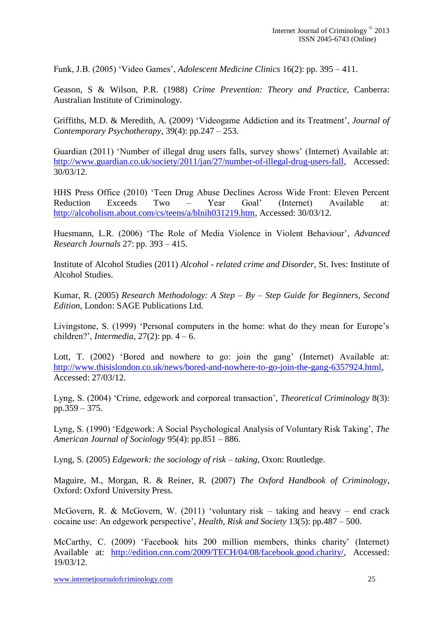Funk, J.B. (2005) 'Video Games', *Adolescent Medicine Clinics* 16(2): pp. 395 – 411.

Geason, S & Wilson, P.R. (1988) *Crime Prevention: Theory and Practice,* Canberra: Australian Institute of Criminology.

Griffiths, M.D. & Meredith, A. (2009) 'Videogame Addiction and its Treatment', *Journal of Contemporary Psychotherapy*, 39(4): pp.247 – 253.

Guardian (2011) 'Number of illegal drug users falls, survey shows' (Internet) Available at: http://www.guardian.co.uk/society/2011/jan/27/number-of-illegal-drug-users-fall, Accessed: 30/03/12.

HHS Press Office (2010) 'Teen Drug Abuse Declines Across Wide Front: Eleven Percent Reduction Exceeds Two – Year Goal' (Internet) Available at: http://alcoholism.about.com/cs/teens/a/blnih031219.htm, Accessed: 30/03/12.

Huesmann, L.R. (2006) 'The Role of Media Violence in Violent Behaviour', *Advanced Research Journals* 27: pp. 393 – 415.

Institute of Alcohol Studies (2011) *Alcohol - related crime and Disorder,* St. Ives: Institute of Alcohol Studies.

Kumar, R. (2005) *Research Methodology: A Step – By – Step Guide for Beginners, Second Edition,* London: SAGE Publications Ltd.

Livingstone, S. (1999) 'Personal computers in the home: what do they mean for Europe's children?', *Intermedia*, 27(2): pp. 4 – 6.

Lott, T. (2002) 'Bored and nowhere to go: join the gang' (Internet) Available at: http://www.thisislondon.co.uk/news/bored-and-nowhere-to-go-join-the-gang-6357924.html, Accessed: 27/03/12.

Lyng, S. (2004) 'Crime, edgework and corporeal transaction', *Theoretical Criminology* 8(3): pp.359 – 375.

Lyng, S. (1990) 'Edgework: A Social Psychological Analysis of Voluntary Risk Taking', *The American Journal of Sociology* 95(4): pp.851 – 886.

Lyng, S. (2005) *Edgework: the sociology of risk – taking,* Oxon: Routledge.

Maguire, M., Morgan, R. & Reiner, R. (2007) *The Oxford Handbook of Criminology*, Oxford: Oxford University Press.

McGovern, R. & McGovern, W. (2011) 'voluntary risk – taking and heavy – end crack cocaine use: An edgework perspective', *Health, Risk and Society* 13(5): pp.487 – 500.

McCarthy, C. (2009) 'Facebook hits 200 million members, thinks charity' (Internet) Available at: http://edition.cnn.com/2009/TECH/04/08/facebook.good.charity/, Accessed: 19/03/12.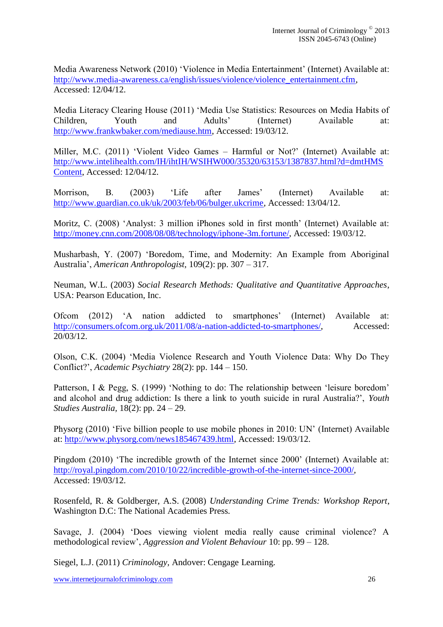Media Awareness Network (2010) 'Violence in Media Entertainment' (Internet) Available at: http://www.media-awareness.ca/english/issues/violence/violence\_entertainment.cfm, Accessed: 12/04/12.

Media Literacy Clearing House (2011) 'Media Use Statistics: Resources on Media Habits of Children, Youth and Adults' (Internet) Available at: http://www.frankwbaker.com/mediause.htm, Accessed: 19/03/12.

Miller, M.C. (2011) 'Violent Video Games – Harmful or Not?' (Internet) Available at: http://www.intelihealth.com/IH/ihtIH/WSIHW000/35320/63153/1387837.html?d=dmtHMS Content, Accessed: 12/04/12.

Morrison, B. (2003) 'Life after James' (Internet) Available at: http://www.guardian.co.uk/uk/2003/feb/06/bulger.ukcrime, Accessed: 13/04/12.

Moritz, C. (2008) 'Analyst: 3 million iPhones sold in first month' (Internet) Available at: http://money.cnn.com/2008/08/08/technology/iphone-3m.fortune/, Accessed: 19/03/12.

Musharbash, Y. (2007) 'Boredom, Time, and Modernity: An Example from Aboriginal Australia', *American Anthropologist,* 109(2): pp. 307 – 317.

Neuman, W.L. (2003) *Social Research Methods: Qualitative and Quantitative Approaches*, USA: Pearson Education, Inc.

Ofcom (2012) 'A nation addicted to smartphones' (Internet) Available at: http://consumers.ofcom.org.uk/2011/08/a-nation-addicted-to-smartphones/, Accessed: 20/03/12.

Olson, C.K. (2004) 'Media Violence Research and Youth Violence Data: Why Do They Conflict?', *Academic Psychiatry* 28(2): pp. 144 – 150.

Patterson, I & Pegg, S. (1999) 'Nothing to do: The relationship between 'leisure boredom' and alcohol and drug addiction: Is there a link to youth suicide in rural Australia?', *Youth Studies Australia,* 18(2): pp. 24 – 29.

Physorg (2010) 'Five billion people to use mobile phones in 2010: UN' (Internet) Available at: http://www.physorg.com/news185467439.html, Accessed: 19/03/12.

Pingdom (2010) 'The incredible growth of the Internet since 2000' (Internet) Available at: http://royal.pingdom.com/2010/10/22/incredible-growth-of-the-internet-since-2000/, Accessed: 19/03/12.

Rosenfeld, R. & Goldberger, A.S. (2008) *Understanding Crime Trends: Workshop Report*, Washington D.C: The National Academies Press.

Savage, J. (2004) 'Does viewing violent media really cause criminal violence? A methodological review', *Aggression and Violent Behaviour* 10: pp. 99 – 128.

Siegel, L.J. (2011) *Criminology,* Andover: Cengage Learning.

www.internetjournalofcriminology.com 26